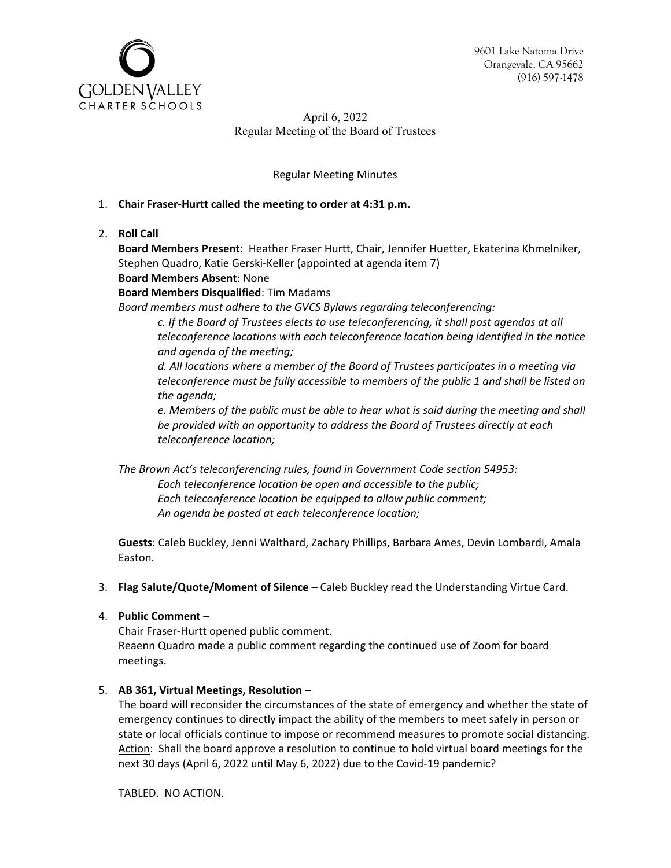9601 Lake Natoma Drive Orangevale, CA 95662 (916) 597-1478



April 6, 2022 Regular Meeting of the Board of Trustees

Regular Meeting Minutes

# 1. **Chair Fraser-Hurtt called the meeting to order at 4:31 p.m.**

2. **Roll Call**

**Board Members Present**: Heather Fraser Hurtt, Chair, Jennifer Huetter, Ekaterina Khmelniker, Stephen Quadro, Katie Gerski-Keller (appointed at agenda item 7)

## **Board Members Absent**: None

**Board Members Disqualified**: Tim Madams

*Board members must adhere to the GVCS Bylaws regarding teleconferencing:* 

*c. If the Board of Trustees elects to use teleconferencing, it shall post agendas at all teleconference locations with each teleconference location being identified in the notice and agenda of the meeting;* 

*d. All locations where a member of the Board of Trustees participates in a meeting via teleconference must be fully accessible to members of the public 1 and shall be listed on the agenda;* 

*e. Members of the public must be able to hear what is said during the meeting and shall be provided with an opportunity to address the Board of Trustees directly at each teleconference location;* 

*The Brown Act's teleconferencing rules, found in Government Code section 54953: Each teleconference location be open and accessible to the public; Each teleconference location be equipped to allow public comment; An agenda be posted at each teleconference location;* 

**Guests**: Caleb Buckley, Jenni Walthard, Zachary Phillips, Barbara Ames, Devin Lombardi, Amala Easton.

3. **Flag Salute/Quote/Moment of Silence** – Caleb Buckley read the Understanding Virtue Card.

### 4. **Public Comment** –

Chair Fraser-Hurtt opened public comment. Reaenn Quadro made a public comment regarding the continued use of Zoom for board meetings.

# 5. **AB 361, Virtual Meetings, Resolution** –

The board will reconsider the circumstances of the state of emergency and whether the state of emergency continues to directly impact the ability of the members to meet safely in person or state or local officials continue to impose or recommend measures to promote social distancing. Action: Shall the board approve a resolution to continue to hold virtual board meetings for the next 30 days (April 6, 2022 until May 6, 2022) due to the Covid-19 pandemic?

TABLED. NO ACTION.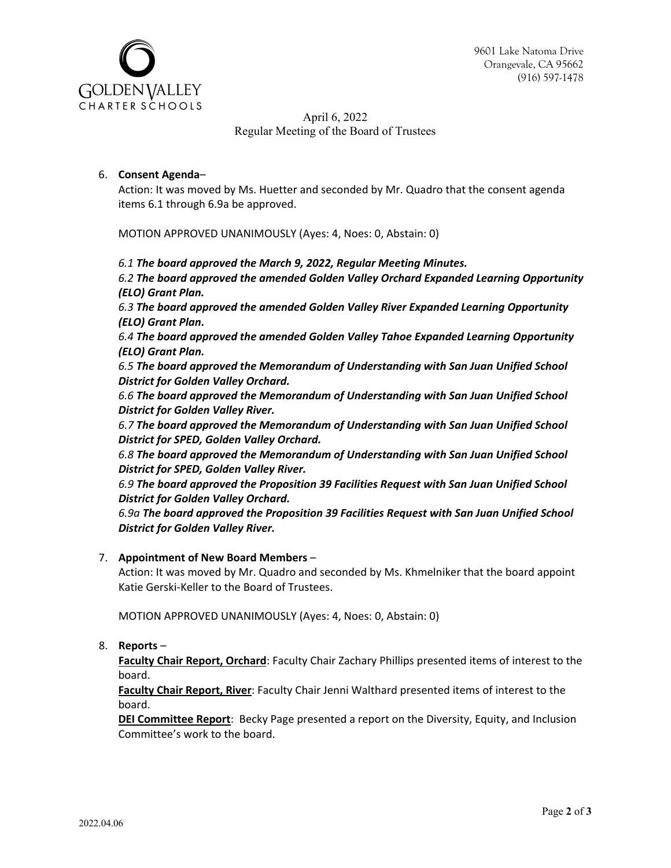



April 6, 2022 Regular Meeting of the Board of Trustees

### 6. **Consent Agenda**–

Action: It was moved by Ms. Huetter and seconded by Mr. Quadro that the consent agenda items 6.1 through 6.9a be approved.

MOTION APPROVED UNANIMOUSLY (Ayes: 4, Noes: 0, Abstain: 0)

*6.1 The board approved the March 9, 2022, Regular Meeting Minutes.*

*6.2 The board approved the amended Golden Valley Orchard Expanded Learning Opportunity (ELO) Grant Plan.*

*6.3 The board approved the amended Golden Valley River Expanded Learning Opportunity (ELO) Grant Plan.*

*6.4 The board approved the amended Golden Valley Tahoe Expanded Learning Opportunity (ELO) Grant Plan.*

*6.5 The board approved the Memorandum of Understanding with San Juan Unified School District for Golden Valley Orchard.*

*6.6 The board approved the Memorandum of Understanding with San Juan Unified School District for Golden Valley River.*

*6.7 The board approved the Memorandum of Understanding with San Juan Unified School District for SPED, Golden Valley Orchard.*

*6.8 The board approved the Memorandum of Understanding with San Juan Unified School District for SPED, Golden Valley River.*

*6.9 The board approved the Proposition 39 Facilities Request with San Juan Unified School District for Golden Valley Orchard.*

*6.9a The board approved the Proposition 39 Facilities Request with San Juan Unified School District for Golden Valley River.*

### 7. **Appointment of New Board Members** –

Action: It was moved by Mr. Quadro and seconded by Ms. Khmelniker that the board appoint Katie Gerski-Keller to the Board of Trustees.

MOTION APPROVED UNANIMOUSLY (Ayes: 4, Noes: 0, Abstain: 0)

8. **Reports** –

**Faculty Chair Report, Orchard**: Faculty Chair Zachary Phillips presented items of interest to the board.

**Faculty Chair Report, River**: Faculty Chair Jenni Walthard presented items of interest to the board.

**DEI Committee Report**: Becky Page presented a report on the Diversity, Equity, and Inclusion Committee's work to the board.